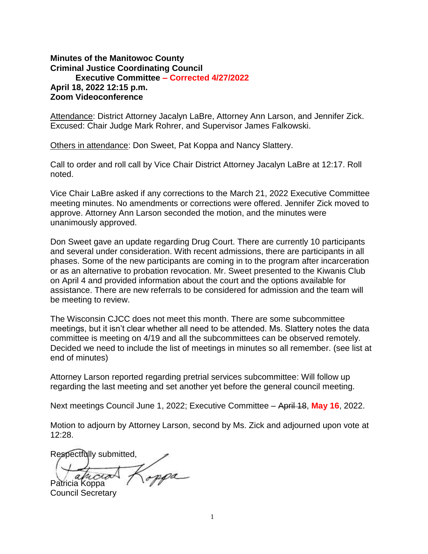## **Minutes of the Manitowoc County Criminal Justice Coordinating Council Executive Committee – Corrected 4/27/2022 April 18, 2022 12:15 p.m. Zoom Videoconference**

Attendance: District Attorney Jacalyn LaBre, Attorney Ann Larson, and Jennifer Zick. Excused: Chair Judge Mark Rohrer, and Supervisor James Falkowski.

Others in attendance: Don Sweet, Pat Koppa and Nancy Slattery.

Call to order and roll call by Vice Chair District Attorney Jacalyn LaBre at 12:17. Roll noted.

Vice Chair LaBre asked if any corrections to the March 21, 2022 Executive Committee meeting minutes. No amendments or corrections were offered. Jennifer Zick moved to approve. Attorney Ann Larson seconded the motion, and the minutes were unanimously approved.

Don Sweet gave an update regarding Drug Court. There are currently 10 participants and several under consideration. With recent admissions, there are participants in all phases. Some of the new participants are coming in to the program after incarceration or as an alternative to probation revocation. Mr. Sweet presented to the Kiwanis Club on April 4 and provided information about the court and the options available for assistance. There are new referrals to be considered for admission and the team will be meeting to review.

The Wisconsin CJCC does not meet this month. There are some subcommittee meetings, but it isn't clear whether all need to be attended. Ms. Slattery notes the data committee is meeting on 4/19 and all the subcommittees can be observed remotely. Decided we need to include the list of meetings in minutes so all remember. (see list at end of minutes)

Attorney Larson reported regarding pretrial services subcommittee: Will follow up regarding the last meeting and set another yet before the general council meeting.

Next meetings Council June 1, 2022; Executive Committee – April 18, **May 16**, 2022.

Motion to adjourn by Attorney Larson, second by Ms. Zick and adjourned upon vote at 12:28.

Respectfully submitted,

oppa a h Patricia Koppa

Council Secretary